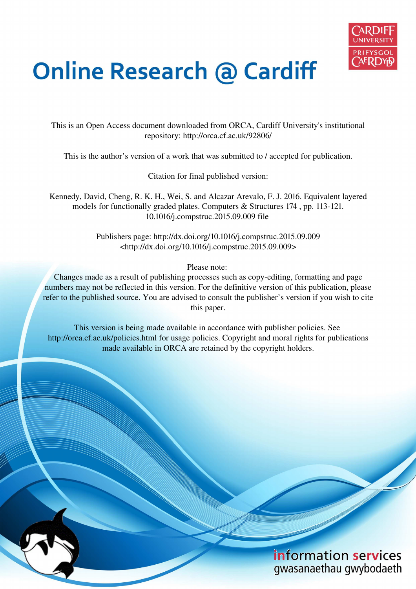

# **Online Research @ Cardiff**

This is an Open Access document downloaded from ORCA, Cardiff University's institutional repository: http://orca.cf.ac.uk/92806/

This is the author's version of a work that was submitted to / accepted for publication.

Citation for final published version:

Kennedy, David, Cheng, R. K. H., Wei, S. and Alcazar Arevalo, F. J. 2016. Equivalent layered models for functionally graded plates. Computers & Structures 174 , pp. 113-121. 10.1016/j.compstruc.2015.09.009 file

> Publishers page: http://dx.doi.org/10.1016/j.compstruc.2015.09.009 <http://dx.doi.org/10.1016/j.compstruc.2015.09.009>

> > Please note:

Changes made as a result of publishing processes such as copy-editing, formatting and page numbers may not be reflected in this version. For the definitive version of this publication, please refer to the published source. You are advised to consult the publisher's version if you wish to cite this paper.

This version is being made available in accordance with publisher policies. See http://orca.cf.ac.uk/policies.html for usage policies. Copyright and moral rights for publications made available in ORCA are retained by the copyright holders.

# information services gwasanaethau gwybodaeth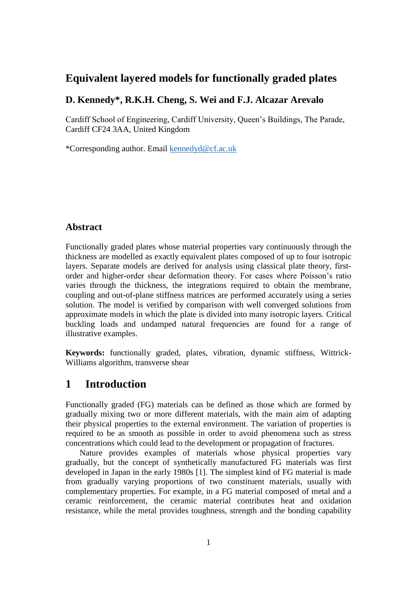# **Equivalent layered models for functionally graded plates**

## **D. Kennedy\*, R.K.H. Cheng, S. Wei and F.J. Alcazar Arevalo**

Cardiff School of Engineering, Cardiff University, Queen's Buildings, The Parade, Cardiff CF24 3AA, United Kingdom

\*Corresponding author. Email [kennedyd@cf.ac.uk](mailto:kennedyd@cf.ac.uk)

### **Abstract**

Functionally graded plates whose material properties vary continuously through the thickness are modelled as exactly equivalent plates composed of up to four isotropic layers. Separate models are derived for analysis using classical plate theory, firstorder and higher-order shear deformation theory. For cases where Poisson's ratio varies through the thickness, the integrations required to obtain the membrane, coupling and out-of-plane stiffness matrices are performed accurately using a series solution. The model is verified by comparison with well converged solutions from approximate models in which the plate is divided into many isotropic layers. Critical buckling loads and undamped natural frequencies are found for a range of illustrative examples.

**Keywords:** functionally graded, plates, vibration, dynamic stiffness, Wittrick-Williams algorithm, transverse shear

# **1 Introduction**

Functionally graded (FG) materials can be defined as those which are formed by gradually mixing two or more different materials, with the main aim of adapting their physical properties to the external environment. The variation of properties is required to be as smooth as possible in order to avoid phenomena such as stress concentrations which could lead to the development or propagation of fractures.

 Nature provides examples of materials whose physical properties vary gradually, but the concept of synthetically manufactured FG materials was first developed in Japan in the early 1980s [1]. The simplest kind of FG material is made from gradually varying proportions of two constituent materials, usually with complementary properties. For example, in a FG material composed of metal and a ceramic reinforcement, the ceramic material contributes heat and oxidation resistance, while the metal provides toughness, strength and the bonding capability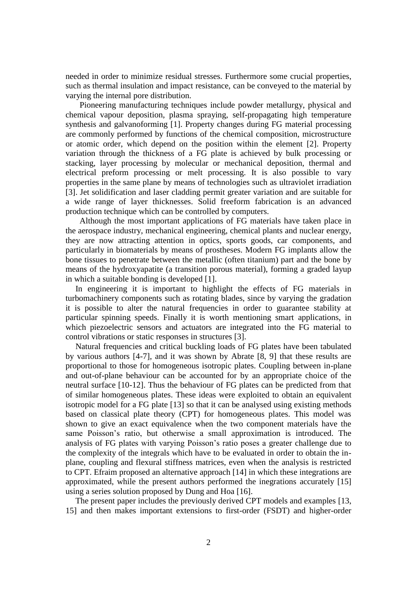needed in order to minimize residual stresses. Furthermore some crucial properties, such as thermal insulation and impact resistance, can be conveyed to the material by varying the internal pore distribution.

 Pioneering manufacturing techniques include powder metallurgy, physical and chemical vapour deposition, plasma spraying, self-propagating high temperature synthesis and galvanoforming [1]. Property changes during FG material processing are commonly performed by functions of the chemical composition, microstructure or atomic order, which depend on the position within the element [2]. Property variation through the thickness of a FG plate is achieved by bulk processing or stacking, layer processing by molecular or mechanical deposition, thermal and electrical preform processing or melt processing. It is also possible to vary properties in the same plane by means of technologies such as ultraviolet irradiation [3]. Jet solidification and laser cladding permit greater variation and are suitable for a wide range of layer thicknesses. Solid freeform fabrication is an advanced production technique which can be controlled by computers.

 Although the most important applications of FG materials have taken place in the aerospace industry, mechanical engineering, chemical plants and nuclear energy, they are now attracting attention in optics, sports goods, car components, and particularly in biomaterials by means of prostheses. Modern FG implants allow the bone tissues to penetrate between the metallic (often titanium) part and the bone by means of the hydroxyapatite (a transition porous material), forming a graded layup in which a suitable bonding is developed [1].

In engineering it is important to highlight the effects of FG materials in turbomachinery components such as rotating blades, since by varying the gradation it is possible to alter the natural frequencies in order to guarantee stability at particular spinning speeds. Finally it is worth mentioning smart applications, in which piezoelectric sensors and actuators are integrated into the FG material to control vibrations or static responses in structures [3].

Natural frequencies and critical buckling loads of FG plates have been tabulated by various authors [4-7], and it was shown by Abrate [8, 9] that these results are proportional to those for homogeneous isotropic plates. Coupling between in-plane and out-of-plane behaviour can be accounted for by an appropriate choice of the neutral surface [10-12]. Thus the behaviour of FG plates can be predicted from that of similar homogeneous plates. These ideas were exploited to obtain an equivalent isotropic model for a FG plate [13] so that it can be analysed using existing methods based on classical plate theory (CPT) for homogeneous plates. This model was shown to give an exact equivalence when the two component materials have the same Poisson's ratio, but otherwise a small approximation is introduced. The analysis of FG plates with varying Poisson's ratio poses a greater challenge due to the complexity of the integrals which have to be evaluated in order to obtain the inplane, coupling and flexural stiffness matrices, even when the analysis is restricted to CPT. Efraim proposed an alternative approach [14] in which these integrations are approximated, while the present authors performed the inegrations accurately [15] using a series solution proposed by Dung and Hoa [16].

The present paper includes the previously derived CPT models and examples [13, 15] and then makes important extensions to first-order (FSDT) and higher-order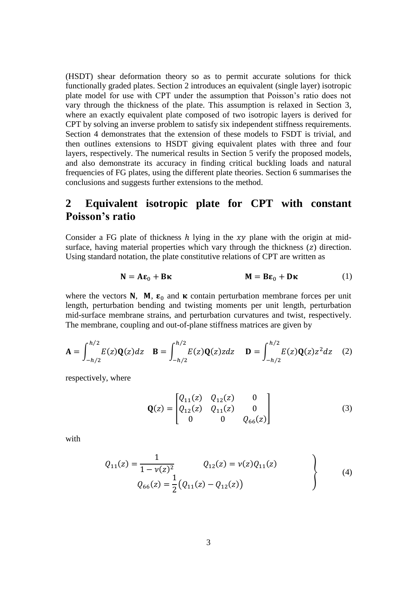(HSDT) shear deformation theory so as to permit accurate solutions for thick functionally graded plates. Section 2 introduces an equivalent (single layer) isotropic plate model for use with CPT under the assumption that Poisson's ratio does not vary through the thickness of the plate. This assumption is relaxed in Section 3, where an exactly equivalent plate composed of two isotropic layers is derived for CPT by solving an inverse problem to satisfy six independent stiffness requirements. Section 4 demonstrates that the extension of these models to FSDT is trivial, and then outlines extensions to HSDT giving equivalent plates with three and four layers, respectively. The numerical results in Section 5 verify the proposed models, and also demonstrate its accuracy in finding critical buckling loads and natural frequencies of FG plates, using the different plate theories. Section 6 summarises the conclusions and suggests further extensions to the method.

# **2 Equivalent isotropic plate for CPT with constant Poisson's ratio**

Consider a FG plate of thickness  $h$  lying in the xy plane with the origin at midsurface, having material properties which vary through the thickness  $(z)$  direction. Using standard notation, the plate constitutive relations of CPT are written as

$$
\mathbf{N} = \mathbf{A}\boldsymbol{\varepsilon}_0 + \mathbf{B}\boldsymbol{\kappa} \qquad \qquad \mathbf{M} = \mathbf{B}\boldsymbol{\varepsilon}_0 + \mathbf{D}\boldsymbol{\kappa} \qquad (1)
$$

where the vectors N, M,  $\epsilon_0$  and  $\kappa$  contain perturbation membrane forces per unit length, perturbation bending and twisting moments per unit length, perturbation mid-surface membrane strains, and perturbation curvatures and twist, respectively. The membrane, coupling and out-of-plane stiffness matrices are given by

$$
\mathbf{A} = \int_{-h/2}^{h/2} E(z) \mathbf{Q}(z) dz \quad \mathbf{B} = \int_{-h/2}^{h/2} E(z) \mathbf{Q}(z) z dz \quad \mathbf{D} = \int_{-h/2}^{h/2} E(z) \mathbf{Q}(z) z^2 dz \quad (2)
$$

respectively, where

$$
\mathbf{Q}(z) = \begin{bmatrix} Q_{11}(z) & Q_{12}(z) & 0 \\ Q_{12}(z) & Q_{11}(z) & 0 \\ 0 & 0 & Q_{66}(z) \end{bmatrix}
$$
 (3)

with

$$
Q_{11}(z) = \frac{1}{1 - \nu(z)^2} \qquad Q_{12}(z) = \nu(z)Q_{11}(z)
$$
  
\n
$$
Q_{66}(z) = \frac{1}{2}(Q_{11}(z) - Q_{12}(z))
$$
\n(4)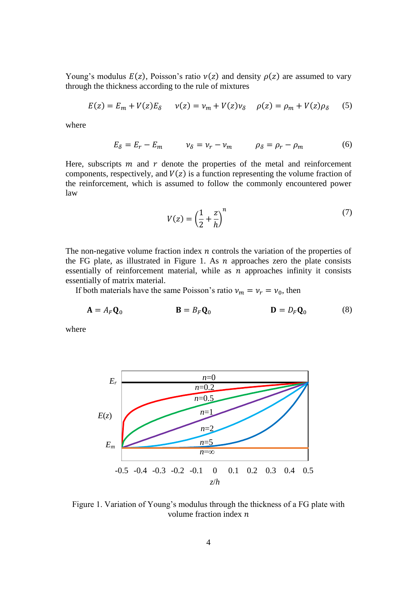Young's modulus  $E(z)$ , Poisson's ratio  $v(z)$  and density  $\rho(z)$  are assumed to vary through the thickness according to the rule of mixtures

$$
E(z) = E_m + V(z)E_\delta \qquad \nu(z) = \nu_m + V(z)\nu_\delta \qquad \rho(z) = \rho_m + V(z)\rho_\delta \qquad (5)
$$

where

$$
E_{\delta} = E_r - E_m \qquad \qquad \nu_{\delta} = \nu_r - \nu_m \qquad \qquad \rho_{\delta} = \rho_r - \rho_m \tag{6}
$$

Here, subscripts  $m$  and  $r$  denote the properties of the metal and reinforcement components, respectively, and  $V(z)$  is a function representing the volume fraction of the reinforcement, which is assumed to follow the commonly encountered power law

$$
V(z) = \left(\frac{1}{2} + \frac{z}{h}\right)^n\tag{7}
$$

The non-negative volume fraction index  $n$  controls the variation of the properties of the FG plate, as illustrated in Figure 1. As  $n$  approaches zero the plate consists essentially of reinforcement material, while as  $n$  approaches infinity it consists essentially of matrix material.

If both materials have the same Poisson's ratio  $\nu_m = \nu_r = \nu_0$ , then

$$
\mathbf{A} = A_F \mathbf{Q}_0 \qquad \qquad \mathbf{B} = B_F \mathbf{Q}_0 \qquad \qquad \mathbf{D} = D_F \mathbf{Q}_0 \qquad \qquad (8)
$$

where



Figure 1. Variation of Young's modulus through the thickness of a FG plate with volume fraction index  $n$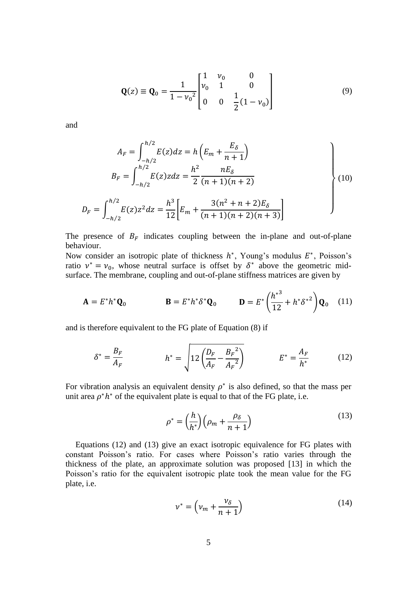$$
\mathbf{Q}(z) \equiv \mathbf{Q}_0 = \frac{1}{1 - \nu_0^2} \begin{bmatrix} 1 & \nu_0 & 0 \\ \nu_0 & 1 & 0 \\ 0 & 0 & \frac{1}{2} (1 - \nu_0) \end{bmatrix}
$$
(9)

and

$$
A_F = \int_{-h/2}^{h/2} E(z)dz = h\left(E_m + \frac{E_\delta}{n+1}\right)
$$
  
\n
$$
B_F = \int_{-h/2}^{h/2} E(z)zdz = \frac{h^2}{2} \frac{nE_\delta}{(n+1)(n+2)}
$$
  
\n
$$
h/2 = \frac{h/2}{2} \left(\frac{n+1}{n+2}\right)
$$
 (10)

$$
D_F = \int_{-h/2}^{h/2} E(z)z^2 dz = \frac{h^3}{12} \bigg[ E_m + \frac{3(n^2 + n + 2)E_\delta}{(n + 1)(n + 2)(n + 3)} \bigg]
$$

The presence of  $B_F$  indicates coupling between the in-plane and out-of-plane behaviour.

Now consider an isotropic plate of thickness  $h^*$ , Young's modulus  $E^*$ , Poisson's ratio  $v^* = v_0$ , whose neutral surface is offset by  $\delta^*$  above the geometric midsurface. The membrane, coupling and out-of-plane stiffness matrices are given by

$$
\mathbf{A} = E^* h^* \mathbf{Q}_0 \qquad \qquad \mathbf{B} = E^* h^* \delta^* \mathbf{Q}_0 \qquad \qquad \mathbf{D} = E^* \left( \frac{h^{*3}}{12} + h^* \delta^{*2} \right) \mathbf{Q}_0 \quad (11)
$$

and is therefore equivalent to the FG plate of Equation (8) if

$$
\delta^* = \frac{B_F}{A_F} \qquad h^* = \sqrt{12\left(\frac{D_F}{A_F} - \frac{B_F^2}{A_F^2}\right)} \qquad E^* = \frac{A_F}{h^*} \qquad (12)
$$

For vibration analysis an equivalent density  $\rho^*$  is also defined, so that the mass per unit area  $\rho^* h^*$  of the equivalent plate is equal to that of the FG plate, i.e.

$$
\rho^* = \left(\frac{h}{h^*}\right)\left(\rho_m + \frac{\rho_\delta}{n+1}\right) \tag{13}
$$

Equations (12) and (13) give an exact isotropic equivalence for FG plates with constant Poisson's ratio. For cases where Poisson's ratio varies through the thickness of the plate, an approximate solution was proposed [13] in which the Poisson's ratio for the equivalent isotropic plate took the mean value for the FG plate, i.e.

$$
\nu^* = \left(\nu_m + \frac{\nu_\delta}{n+1}\right) \tag{14}
$$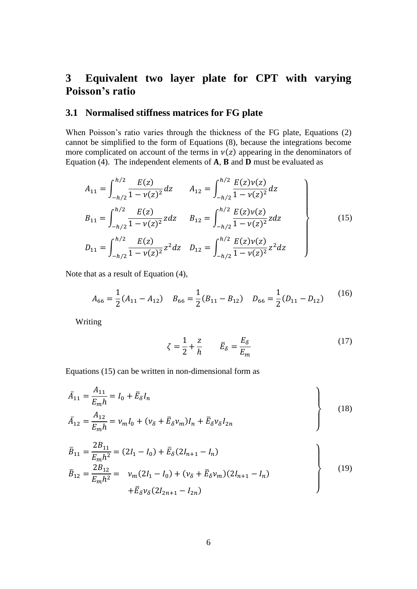# **3 Equivalent two layer plate for CPT with varying Poisson's ratio**

# **3.1 Normalised stiffness matrices for FG plate**

When Poisson's ratio varies through the thickness of the FG plate, Equations (2) cannot be simplified to the form of Equations (8), because the integrations become more complicated on account of the terms in  $v(z)$  appearing in the denominators of Equation (4). The independent elements of  $A$ ,  $B$  and  $D$  must be evaluated as

$$
A_{11} = \int_{-h/2}^{h/2} \frac{E(z)}{1 - v(z)^2} dz \qquad A_{12} = \int_{-h/2}^{h/2} \frac{E(z)v(z)}{1 - v(z)^2} dz
$$
  
\n
$$
B_{11} = \int_{-h/2}^{h/2} \frac{E(z)}{1 - v(z)^2} dz \qquad B_{12} = \int_{-h/2}^{h/2} \frac{E(z)v(z)}{1 - v(z)^2} dz
$$
  
\n
$$
D_{11} = \int_{-h/2}^{h/2} \frac{E(z)}{1 - v(z)^2} z^2 dz \qquad D_{12} = \int_{-h/2}^{h/2} \frac{E(z)v(z)}{1 - v(z)^2} z^2 dz
$$
 (15)

Note that as a result of Equation (4),

$$
A_{66} = \frac{1}{2}(A_{11} - A_{12}) \quad B_{66} = \frac{1}{2}(B_{11} - B_{12}) \quad D_{66} = \frac{1}{2}(D_{11} - D_{12}) \tag{16}
$$

Writing

$$
\zeta = \frac{1}{2} + \frac{z}{h} \qquad \bar{E}_{\delta} = \frac{E_{\delta}}{E_m} \tag{17}
$$

Equations (15) can be written in non-dimensional form as

$$
\bar{A}_{11} = \frac{A_{11}}{E_m h} = I_0 + \bar{E}_{\delta} I_n
$$
\n
$$
\bar{A}_{12} = \frac{A_{12}}{E_m h} = \nu_m I_0 + (\nu_{\delta} + \bar{E}_{\delta} \nu_m) I_n + \bar{E}_{\delta} \nu_{\delta} I_{2n}
$$
\n(18)

$$
\begin{aligned}\n\bar{B}_{11} &= \frac{2B_{11}}{E_m h^2} = (2I_1 - I_0) + \bar{E}_{\delta}(2I_{n+1} - I_n) \\
\bar{B}_{12} &= \frac{2B_{12}}{E_m h^2} = \nu_m (2I_1 - I_0) + (\nu_{\delta} + \bar{E}_{\delta} \nu_m)(2I_{n+1} - I_n) \\
&\quad + \bar{E}_{\delta} \nu_{\delta}(2I_{2n+1} - I_{2n})\n\end{aligned} \tag{19}
$$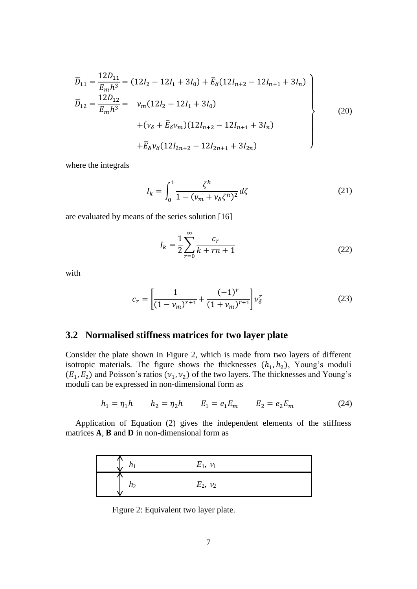$$
\overline{D}_{11} = \frac{12D_{11}}{E_m h^3} = (12I_2 - 12I_1 + 3I_0) + \overline{E}_{\delta}(12I_{n+2} - 12I_{n+1} + 3I_n)
$$
\n
$$
\overline{D}_{12} = \frac{12D_{12}}{E_m h^3} = \nu_m (12I_2 - 12I_1 + 3I_0)
$$
\n
$$
+ (\nu_{\delta} + \overline{E}_{\delta} \nu_m)(12I_{n+2} - 12I_{n+1} + 3I_n)
$$
\n
$$
+ \overline{E}_{\delta} \nu_{\delta}(12I_{2n+2} - 12I_{2n+1} + 3I_{2n})
$$
\n(20)

where the integrals

$$
I_k = \int_0^1 \frac{\zeta^k}{1 - (\nu_m + \nu_\delta \zeta^n)^2} d\zeta
$$
 (21)

are evaluated by means of the series solution [16]

$$
I_k = \frac{1}{2} \sum_{r=0}^{\infty} \frac{c_r}{k + rn + 1}
$$
 (22)

with

$$
c_r = \left[\frac{1}{(1 - \nu_m)^{r+1}} + \frac{(-1)^r}{(1 + \nu_m)^{r+1}}\right] \nu_\delta^r \tag{23}
$$

## **3.2 Normalised stiffness matrices for two layer plate**

Consider the plate shown in Figure 2, which is made from two layers of different isotropic materials. The figure shows the thicknesses  $(h_1, h_2)$ , Young's moduli  $(E_1, E_2)$  and Poisson's ratios  $(v_1, v_2)$  of the two layers. The thicknesses and Young's moduli can be expressed in non-dimensional form as

$$
h_1 = \eta_1 h \qquad h_2 = \eta_2 h \qquad E_1 = e_1 E_m \qquad E_2 = e_2 E_m \tag{24}
$$

Application of Equation (2) gives the independent elements of the stiffness matrices  $A$ ,  $B$  and  $D$  in non-dimensional form as

| <b>U</b> 1 | $E_1, v_1$ |  |
|------------|------------|--|
| $n_2$      | $E_2, v_2$ |  |

Figure 2: Equivalent two layer plate.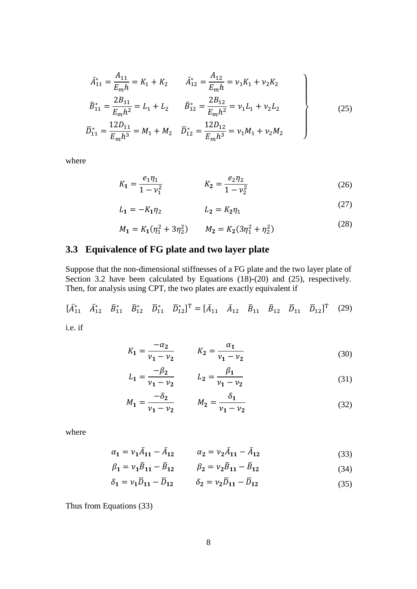$$
\bar{A}_{11}^{*} = \frac{A_{11}}{E_m h} = K_1 + K_2 \qquad \bar{A}_{12}^{*} = \frac{A_{12}}{E_m h} = \nu_1 K_1 + \nu_2 K_2
$$
\n
$$
\bar{B}_{11}^{*} = \frac{2B_{11}}{E_m h^2} = L_1 + L_2 \qquad \bar{B}_{12}^{*} = \frac{2B_{12}}{E_m h^2} = \nu_1 L_1 + \nu_2 L_2
$$
\n
$$
\bar{D}_{11}^{*} = \frac{12D_{11}}{E_m h^3} = M_1 + M_2 \qquad \bar{D}_{12}^{*} = \frac{12D_{12}}{E_m h^3} = \nu_1 M_1 + \nu_2 M_2
$$
\n(25)

where

$$
K_1 = \frac{e_1 \eta_1}{1 - v_1^2} \qquad K_2 = \frac{e_2 \eta_2}{1 - v_2^2} \tag{26}
$$

$$
L_1 = -K_1 \eta_2 \qquad L_2 = K_2 \eta_1 \tag{27}
$$

$$
M_1 = K_1(\eta_1^2 + 3\eta_2^2) \qquad M_2 = K_2(3\eta_1^2 + \eta_2^2)
$$
 (28)

# **3.3 Equivalence of FG plate and two layer plate**

Suppose that the non-dimensional stiffnesses of a FG plate and the two layer plate of Section 3.2 have been calculated by Equations (18)-(20) and (25), respectively. Then, for analysis using CPT, the two plates are exactly equivalent if

$$
[\bar{A}_{11}^* \quad \bar{A}_{12}^* \quad \bar{B}_{11}^* \quad \bar{B}_{12}^* \quad \bar{D}_{11}^* \quad \bar{D}_{12}^*]^T = [\bar{A}_{11} \quad \bar{A}_{12} \quad \bar{B}_{11} \quad \bar{B}_{12} \quad \bar{D}_{11} \quad \bar{D}_{12}]^T \tag{29}
$$

i.e. if

$$
K_1 = \frac{-\alpha_2}{\nu_1 - \nu_2} \qquad K_2 = \frac{\alpha_1}{\nu_1 - \nu_2} \tag{30}
$$

$$
L_1 = \frac{-\beta_2}{\nu_1 - \nu_2} \qquad L_2 = \frac{\beta_1}{\nu_1 - \nu_2} \tag{31}
$$

$$
M_1 = \frac{-\delta_2}{\nu_1 - \nu_2} \qquad M_2 = \frac{\delta_1}{\nu_1 - \nu_2} \tag{32}
$$

where

$$
\alpha_1 = v_1 \bar{A}_{11} - \bar{A}_{12} \qquad \alpha_2 = v_2 \bar{A}_{11} - \bar{A}_{12} \tag{33}
$$

$$
\beta_1 = v_1 \bar{B}_{11} - \bar{B}_{12} \qquad \beta_2 = v_2 \bar{B}_{11} - \bar{B}_{12} \qquad (34)
$$

$$
\delta_1 = \nu_1 \overline{D}_{11} - \overline{D}_{12} \qquad \delta_2 = \nu_2 \overline{D}_{11} - \overline{D}_{12} \tag{35}
$$

Thus from Equations (33)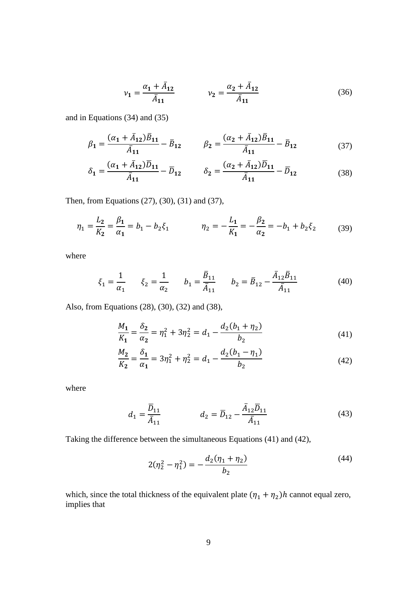$$
v_1 = \frac{\alpha_1 + \bar{A}_{12}}{\bar{A}_{11}} \qquad v_2 = \frac{\alpha_2 + \bar{A}_{12}}{\bar{A}_{11}} \qquad (36)
$$

and in Equations (34) and (35)

$$
\beta_1 = \frac{(\alpha_1 + \bar{A}_{12})\bar{B}_{11}}{\bar{A}_{11}} - \bar{B}_{12} \qquad \beta_2 = \frac{(\alpha_2 + \bar{A}_{12})\bar{B}_{11}}{\bar{A}_{11}} - \bar{B}_{12} \tag{37}
$$

$$
\delta_1 = \frac{(\alpha_1 + \bar{A}_{12})\bar{D}_{11}}{\bar{A}_{11}} - \bar{D}_{12} \qquad \delta_2 = \frac{(\alpha_2 + \bar{A}_{12})\bar{D}_{11}}{\bar{A}_{11}} - \bar{D}_{12} \tag{38}
$$

Then, from Equations (27), (30), (31) and (37),

$$
\eta_1 = \frac{L_2}{K_2} = \frac{\beta_1}{\alpha_1} = b_1 - b_2 \xi_1 \qquad \eta_2 = -\frac{L_1}{K_1} = -\frac{\beta_2}{\alpha_2} = -b_1 + b_2 \xi_2 \qquad (39)
$$

where

$$
\xi_1 = \frac{1}{\alpha_1} \qquad \xi_2 = \frac{1}{\alpha_2} \qquad b_1 = \frac{\bar{B}_{11}}{\bar{A}_{11}} \qquad b_2 = \bar{B}_{12} - \frac{\bar{A}_{12}\bar{B}_{11}}{\bar{A}_{11}} \tag{40}
$$

Also, from Equations (28), (30), (32) and (38),

$$
\frac{M_1}{K_1} = \frac{\delta_2}{\alpha_2} = \eta_1^2 + 3\eta_2^2 = d_1 - \frac{d_2(b_1 + \eta_2)}{b_2}
$$
(41)

$$
\frac{M_2}{K_2} = \frac{\delta_1}{\alpha_1} = 3\eta_1^2 + \eta_2^2 = d_1 - \frac{d_2(b_1 - \eta_1)}{b_2}
$$
(42)

where

$$
d_1 = \frac{\overline{D}_{11}}{\overline{A}_{11}} \qquad d_2 = \overline{D}_{12} - \frac{\overline{A}_{12}\overline{D}_{11}}{\overline{A}_{11}} \qquad (43)
$$

Taking the difference between the simultaneous Equations (41) and (42),

$$
2(\eta_2^2 - \eta_1^2) = -\frac{d_2(\eta_1 + \eta_2)}{b_2} \tag{44}
$$

which, since the total thickness of the equivalent plate  $(\eta_1 + \eta_2)h$  cannot equal zero, implies that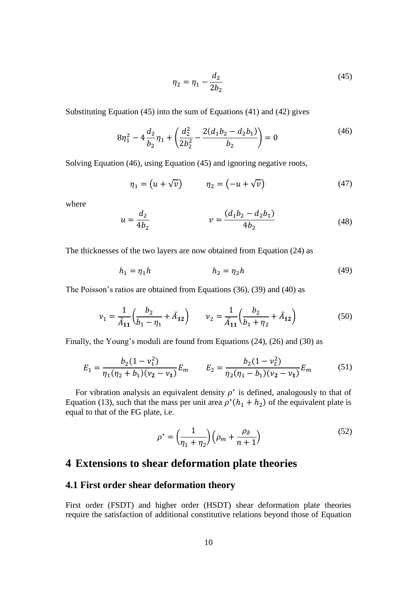$$
\eta_2 = \eta_1 - \frac{d_2}{2b_2} \tag{45}
$$

Substituting Equation (45) into the sum of Equations (41) and (42) gives

$$
8\eta_1^2 - 4\frac{d_2}{b_2}\eta_1 + \left(\frac{d_2^2}{2b_2^2} - \frac{2(d_1b_2 - d_2b_1)}{b_2}\right) = 0\tag{46}
$$

Solving Equation (46), using Equation (45) and ignoring negative roots,

$$
\eta_1 = \left( u + \sqrt{v} \right) \qquad \eta_2 = \left( -u + \sqrt{v} \right) \tag{47}
$$

where

$$
u = \frac{d_2}{4b_2} \qquad \qquad v = \frac{(d_1b_2 - d_2b_1)}{4b_2} \tag{48}
$$

The thicknesses of the two layers are now obtained from Equation (24) as

$$
h_1 = \eta_1 h \qquad \qquad h_2 = \eta_2 h \tag{49}
$$

The Poisson's ratios are obtained from Equations (36), (39) and (40) as

$$
\nu_1 = \frac{1}{\bar{A}_{11}} \left( \frac{b_2}{b_1 - \eta_1} + \bar{A}_{12} \right) \qquad \nu_2 = \frac{1}{\bar{A}_{11}} \left( \frac{b_2}{b_1 + \eta_2} + \bar{A}_{12} \right) \tag{50}
$$

Finally, the Young's moduli are found from Equations (24), (26) and (30) as

$$
E_1 = \frac{b_2(1 - v_1^2)}{\eta_1(\eta_2 + b_1)(v_2 - v_1)} E_m \qquad E_2 = \frac{b_2(1 - v_2^2)}{\eta_2(\eta_1 - b_1)(v_2 - v_1)} E_m \tag{51}
$$

For vibration analysis an equivalent density  $\rho^*$  is defined, analogously to that of Equation (13), such that the mass per unit area  $\rho^*(h_1 + h_2)$  of the equivalent plate is equal to that of the FG plate, i.e.

$$
\rho^* = \left(\frac{1}{\eta_1 + \eta_2}\right) \left(\rho_m + \frac{\rho_\delta}{n+1}\right) \tag{52}
$$

# **4 Extensions to shear deformation plate theories**

#### **4.1 First order shear deformation theory**

First order (FSDT) and higher order (HSDT) shear deformation plate theories require the satisfaction of additional constitutive relations beyond those of Equation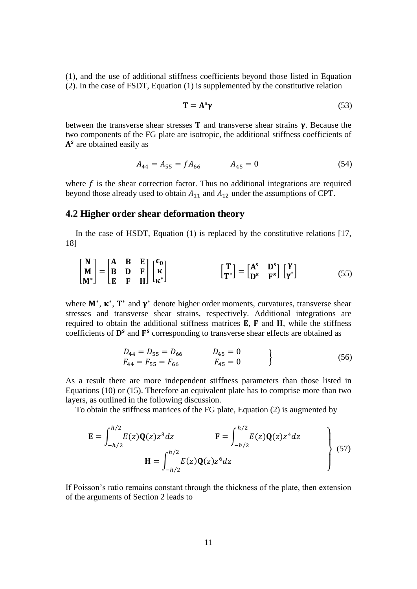(1), and the use of additional stiffness coefficients beyond those listed in Equation (2). In the case of FSDT, Equation (1) is supplemented by the constitutive relation

$$
\mathbf{T} = \mathbf{A}^s \mathbf{\gamma} \tag{53}
$$

between the transverse shear stresses  $T$  and transverse shear strains  $\gamma$ . Because the two components of the FG plate are isotropic, the additional stiffness coefficients of  $A<sup>s</sup>$  are obtained easily as

$$
A_{44} = A_{55} = f A_{66} \qquad A_{45} = 0 \tag{54}
$$

where  $f$  is the shear correction factor. Thus no additional integrations are required beyond those already used to obtain  $A_{11}$  and  $A_{12}$  under the assumptions of CPT.

#### **4.2 Higher order shear deformation theory**

In the case of HSDT, Equation (1) is replaced by the constitutive relations [17, 18]

$$
\begin{bmatrix} \mathbf{N} \\ \mathbf{M} \\ \mathbf{M}^* \end{bmatrix} = \begin{bmatrix} \mathbf{A} & \mathbf{B} & \mathbf{E} \\ \mathbf{B} & \mathbf{D} & \mathbf{F} \\ \mathbf{E} & \mathbf{F} & \mathbf{H} \end{bmatrix} \begin{bmatrix} \epsilon_0 \\ \kappa \\ \kappa^* \end{bmatrix} \qquad \qquad \begin{bmatrix} \mathbf{T} \\ \mathbf{T}^* \end{bmatrix} = \begin{bmatrix} \mathbf{A}^s & \mathbf{D}^s \\ \mathbf{D}^s & \mathbf{F}^s \end{bmatrix} \begin{bmatrix} \gamma \\ \gamma^* \end{bmatrix} \tag{55}
$$

where  $M^*$ ,  $\kappa^*$ ,  $T^*$  and  $\gamma^*$  denote higher order moments, curvatures, transverse shear stresses and transverse shear strains, respectively. Additional integrations are required to obtain the additional stiffness matrices  $E$ ,  $F$  and  $H$ , while the stiffness coefficients of  $\mathbf{D}^s$  and  $\mathbf{F}^s$  corresponding to transverse shear effects are obtained as

$$
D_{44} = D_{55} = D_{66} \qquad D_{45} = 0 F_{44} = F_{55} = F_{66} \qquad F_{45} = 0
$$
 (56)

As a result there are more independent stiffness parameters than those listed in Equations (10) or (15). Therefore an equivalent plate has to comprise more than two layers, as outlined in the following discussion.

To obtain the stiffness matrices of the FG plate, Equation (2) is augmented by

$$
\mathbf{E} = \int_{-h/2}^{h/2} E(z) \mathbf{Q}(z) z^3 dz \qquad \qquad \mathbf{F} = \int_{-h/2}^{h/2} E(z) \mathbf{Q}(z) z^4 dz
$$
\n
$$
\mathbf{H} = \int_{-h/2}^{h/2} E(z) \mathbf{Q}(z) z^6 dz \qquad (57)
$$

If Poisson's ratio remains constant through the thickness of the plate, then extension of the arguments of Section 2 leads to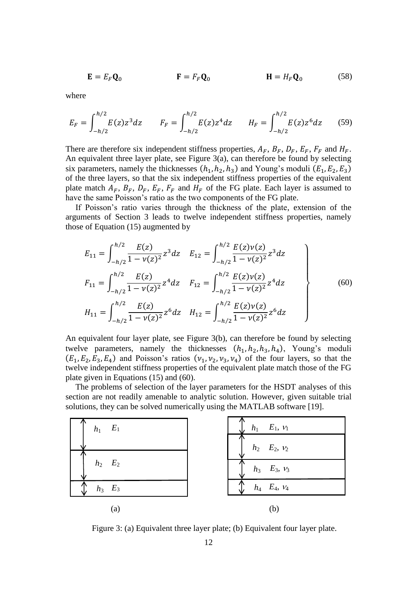$$
\mathbf{E} = E_F \mathbf{Q}_0 \qquad \qquad \mathbf{F} = F_F \mathbf{Q}_0 \qquad \qquad \mathbf{H} = H_F \mathbf{Q}_0 \qquad (58)
$$

where

$$
E_F = \int_{-h/2}^{h/2} E(z)z^3 dz \qquad F_F = \int_{-h/2}^{h/2} E(z)z^4 dz \qquad H_F = \int_{-h/2}^{h/2} E(z)z^6 dz \qquad (59)
$$

There are therefore six independent stiffness properties,  $A_F$ ,  $B_F$ ,  $D_F$ ,  $E_F$ ,  $F_F$  and  $H_F$ . An equivalent three layer plate, see Figure 3(a), can therefore be found by selecting six parameters, namely the thicknesses  $(h_1, h_2, h_3)$  and Young's moduli  $(E_1, E_2, E_3)$ of the three layers, so that the six independent stiffness properties of the equivalent plate match  $A_F$ ,  $B_F$ ,  $B_F$ ,  $E_F$ ,  $F_F$  and  $H_F$  of the FG plate. Each layer is assumed to have the same Poisson's ratio as the two components of the FG plate.

If Poisson's ratio varies through the thickness of the plate, extension of the arguments of Section 3 leads to twelve independent stiffness properties, namely those of Equation (15) augmented by

$$
E_{11} = \int_{-h/2}^{h/2} \frac{E(z)}{1 - v(z)^2} z^3 dz \quad E_{12} = \int_{-h/2}^{h/2} \frac{E(z)v(z)}{1 - v(z)^2} z^3 dz
$$
  
\n
$$
F_{11} = \int_{-h/2}^{h/2} \frac{E(z)}{1 - v(z)^2} z^4 dz \quad F_{12} = \int_{-h/2}^{h/2} \frac{E(z)v(z)}{1 - v(z)^2} z^4 dz
$$
  
\n
$$
H_{11} = \int_{-h/2}^{h/2} \frac{E(z)}{1 - v(z)^2} z^6 dz \quad H_{12} = \int_{-h/2}^{h/2} \frac{E(z)v(z)}{1 - v(z)^2} z^6 dz
$$
 (60)

An equivalent four layer plate, see Figure 3(b), can therefore be found by selecting twelve parameters, namely the thicknesses  $(h_1, h_2, h_3, h_4)$ , Young's moduli  $(E_1, E_2, E_3, E_4)$  and Poisson's ratios  $(\nu_1, \nu_2, \nu_3, \nu_4)$  of the four layers, so that the twelve independent stiffness properties of the equivalent plate match those of the FG plate given in Equations (15) and (60).

The problems of selection of the layer parameters for the HSDT analyses of this section are not readily amenable to analytic solution. However, given suitable trial solutions, they can be solved numerically using the MATLAB software [19].



Figure 3: (a) Equivalent three layer plate; (b) Equivalent four layer plate.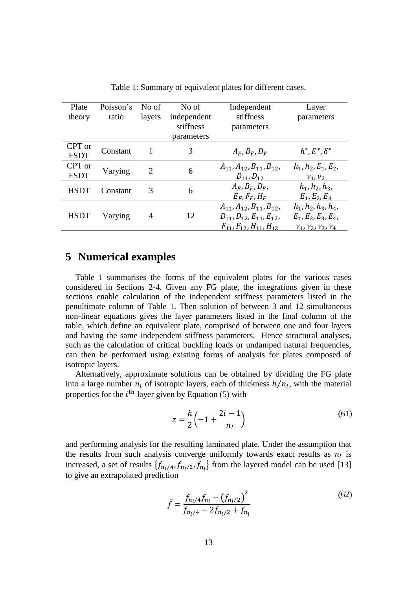| Plate       | Poisson's | No of  | No of       | Independent                               | Layer                         |
|-------------|-----------|--------|-------------|-------------------------------------------|-------------------------------|
| theory      | ratio     | layers | independent | stiffness                                 | parameters                    |
|             |           |        | stiffness   | parameters                                |                               |
|             |           |        | parameters  |                                           |                               |
| CPT or      | Constant  |        | 3           |                                           |                               |
| <b>FSDT</b> |           |        |             | $A_F, B_F, D_F$                           | $h^*, E^*, \delta^*$          |
| CPT or      |           |        |             | $A_{11}, A_{12}, B_{11}, B_{12}$          | $h_1, h_2, E_1, E_2,$         |
| <b>FSDT</b> | Varying   | 2      | 6           | $D_{11}, D_{12}$                          | $v_1, v_2$                    |
|             |           |        |             | $A_F, B_F, D_F$                           | $h_1, h_2, h_3,$              |
| <b>HSDT</b> | Constant  | 3      | 6           | $E_F, F_F, H_F$                           | $E_1, E_2, E_3$               |
|             |           |        |             | $A_{11}, A_{12}, B_{11}, B_{12}$          | $h_1, h_2, h_3, h_4,$         |
| <b>HSDT</b> | Varying   | 4      | 12          | $D_{11}, D_{12}, E_{11}, E_{12},$         | $E_1, E_2, E_3, E_4,$         |
|             |           |        |             | $F_{11}$ , $F_{12}$ , $H_{11}$ , $H_{12}$ | $v_1$ , $v_2$ , $v_3$ , $v_4$ |
|             |           |        |             |                                           |                               |

Table 1: Summary of equivalent plates for different cases.

# **5 Numerical examples**

Table 1 summarises the forms of the equivalent plates for the various cases considered in Sections 2-4. Given any FG plate, the integrations given in these sections enable calculation of the independent stiffness parameters listed in the penultimate column of Table 1. Then solution of between 3 and 12 simultaneous non-linear equations gives the layer parameters listed in the final column of the table, which define an equivalent plate, comprised of between one and four layers and having the same independent stiffness parameters. Hence structural analyses, such as the calculation of critical buckling loads or undamped natural frequencies, can then be performed using existing forms of analysis for plates composed of isotropic layers.

Alternatively, approximate solutions can be obtained by dividing the FG plate into a large number  $n_l$  of isotropic layers, each of thickness  $h/n_l$ , with the material properties for the  $i<sup>th</sup>$  layer given by Equation (5) with

$$
z = \frac{h}{2} \left( -1 + \frac{2i - 1}{n_l} \right) \tag{61}
$$

and performing analysis for the resulting laminated plate. Under the assumption that the results from such analysis converge uniformly towards exact results as  $n_l$  is increased, a set of results  $\{f_{n_l/4}, f_{n_l/2}, f_{n_l}\}$  from the layered model can be used [13] to give an extrapolated prediction

$$
\bar{f} = \frac{f_{n_l/4}f_{n_l} - (f_{n_l/2})^2}{f_{n_l/4} - 2f_{n_l/2} + f_{n_l}}
$$
(62)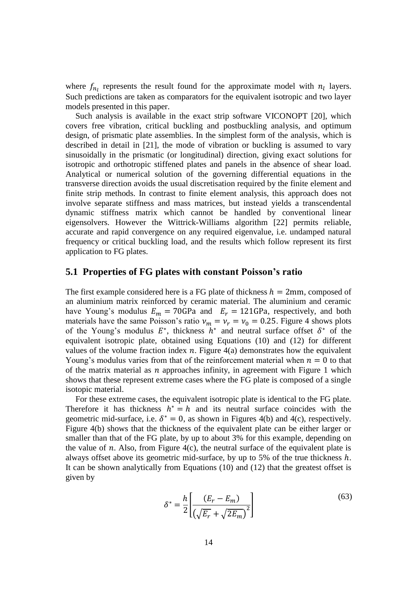where  $f_{n_l}$  represents the result found for the approximate model with  $n_l$  layers. Such predictions are taken as comparators for the equivalent isotropic and two layer models presented in this paper.

Such analysis is available in the exact strip software VICONOPT [20], which covers free vibration, critical buckling and postbuckling analysis, and optimum design, of prismatic plate assemblies. In the simplest form of the analysis, which is described in detail in [21], the mode of vibration or buckling is assumed to vary sinusoidally in the prismatic (or longitudinal) direction, giving exact solutions for isotropic and orthotropic stiffened plates and panels in the absence of shear load. Analytical or numerical solution of the governing differential equations in the transverse direction avoids the usual discretisation required by the finite element and finite strip methods. In contrast to finite element analysis, this approach does not involve separate stiffness and mass matrices, but instead yields a transcendental dynamic stiffness matrix which cannot be handled by conventional linear eigensolvers. However the Wittrick-Williams algorithm [22] permits reliable, accurate and rapid convergence on any required eigenvalue, i.e. undamped natural frequency or critical buckling load, and the results which follow represent its first application to FG plates.

#### **5.1 Properties of FG plates with constant Poisson's ratio**

The first example considered here is a FG plate of thickness  $h = 2$ mm, composed of an aluminium matrix reinforced by ceramic material. The aluminium and ceramic have Young's modulus  $E_m = 70$ GPa and  $E_r = 121$ GPa, respectively, and both materials have the same Poisson's ratio  $\nu_m = \nu_r = \nu_0 = 0.25$ . Figure 4 shows plots of the Young's modulus  $E^*$ , thickness  $h^*$  and neutral surface offset  $\delta^*$  of the equivalent isotropic plate, obtained using Equations (10) and (12) for different values of the volume fraction index  $n$ . Figure 4(a) demonstrates how the equivalent Young's modulus varies from that of the reinforcement material when  $n = 0$  to that of the matrix material as  $n$  approaches infinity, in agreement with Figure 1 which shows that these represent extreme cases where the FG plate is composed of a single isotopic material.

For these extreme cases, the equivalent isotropic plate is identical to the FG plate. Therefore it has thickness  $h^* = h$  and its neutral surface coincides with the geometric mid-surface, i.e.  $\delta^* = 0$ , as shown in Figures 4(b) and 4(c), respectively. Figure 4(b) shows that the thickness of the equivalent plate can be either larger or smaller than that of the FG plate, by up to about 3% for this example, depending on the value of  $n$ . Also, from Figure 4(c), the neutral surface of the equivalent plate is always offset above its geometric mid-surface, by up to 5% of the true thickness ℎ. It can be shown analytically from Equations (10) and (12) that the greatest offset is given by

$$
\delta^* = \frac{h}{2} \left[ \frac{(E_r - E_m)}{\left(\sqrt{E_r} + \sqrt{2E_m}\right)^2} \right]
$$
\n(63)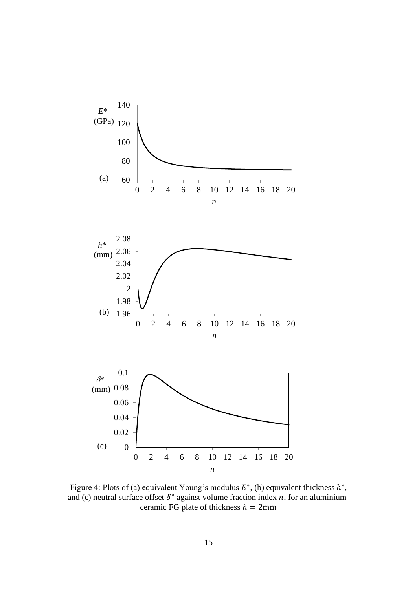

Figure 4: Plots of (a) equivalent Young's modulus  $E^*$ , (b) equivalent thickness  $h^*$ , and (c) neutral surface offset  $\delta^*$  against volume fraction index n, for an aluminiumceramic FG plate of thickness  $h = 2$ mm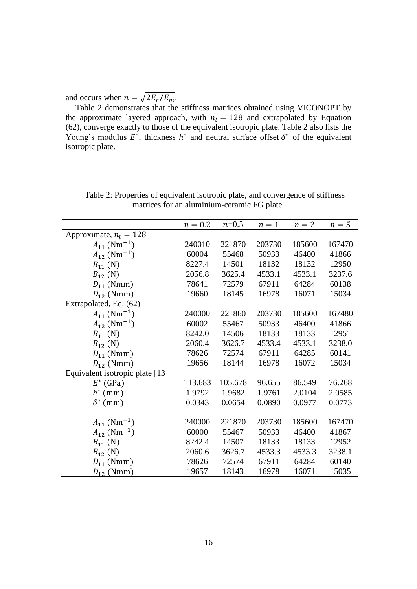and occurs when  $n = \sqrt{2E_r/E_m}$ .

Table 2 demonstrates that the stiffness matrices obtained using VICONOPT by the approximate layered approach, with  $n_l = 128$  and extrapolated by Equation (62), converge exactly to those of the equivalent isotropic plate. Table 2 also lists the Young's modulus  $E^*$ , thickness  $h^*$  and neutral surface offset  $\delta^*$  of the equivalent isotropic plate.

|                                 | $n = 0.2$ | $n=0.5$ | $n=1$  | $n=2$  | $n=5$  |
|---------------------------------|-----------|---------|--------|--------|--------|
| Approximate, $n_l = 128$        |           |         |        |        |        |
| $A_{11}$ (Nm <sup>-1</sup> )    | 240010    | 221870  | 203730 | 185600 | 167470 |
| $A_{12}$ (Nm <sup>-1</sup> )    | 60004     | 55468   | 50933  | 46400  | 41866  |
| $B_{11} (N)$                    | 8227.4    | 14501   | 18132  | 18132  | 12950  |
| $B_{12} (N)$                    | 2056.8    | 3625.4  | 4533.1 | 4533.1 | 3237.6 |
| $D_{11}$ (Nmm)                  | 78641     | 72579   | 67911  | 64284  | 60138  |
| $D_{12}$ (Nmm)                  | 19660     | 18145   | 16978  | 16071  | 15034  |
| Extrapolated, Eq. (62)          |           |         |        |        |        |
| $A_{11}$ (Nm <sup>-1</sup> )    | 240000    | 221860  | 203730 | 185600 | 167480 |
| $A_{12}$ (Nm <sup>-1</sup> )    | 60002     | 55467   | 50933  | 46400  | 41866  |
| $B_{11} (N)$                    | 8242.0    | 14506   | 18133  | 18133  | 12951  |
| $B_{12} (N)$                    | 2060.4    | 3626.7  | 4533.4 | 4533.1 | 3238.0 |
| $D_{11}$ (Nmm)                  | 78626     | 72574   | 67911  | 64285  | 60141  |
| $D_{12}$ (Nmm)                  | 19656     | 18144   | 16978  | 16072  | 15034  |
| Equivalent isotropic plate [13] |           |         |        |        |        |
| $E^*$ (GPa)                     | 113.683   | 105.678 | 96.655 | 86.549 | 76.268 |
| $h^*$ (mm)                      | 1.9792    | 1.9682  | 1.9761 | 2.0104 | 2.0585 |
| $\delta^*$ (mm)                 | 0.0343    | 0.0654  | 0.0890 | 0.0977 | 0.0773 |
|                                 |           |         |        |        |        |
| $A_{11}$ (Nm <sup>-1</sup> )    | 240000    | 221870  | 203730 | 185600 | 167470 |
| $A_{12}$ (Nm <sup>-1</sup> )    | 60000     | 55467   | 50933  | 46400  | 41867  |
| $B_{11} (N)$                    | 8242.4    | 14507   | 18133  | 18133  | 12952  |
| $B_{12} (N)$                    | 2060.6    | 3626.7  | 4533.3 | 4533.3 | 3238.1 |
| $D_{11}$ (Nmm)                  | 78626     | 72574   | 67911  | 64284  | 60140  |
| $D_{12}$ (Nmm)                  | 19657     | 18143   | 16978  | 16071  | 15035  |

 Table 2: Properties of equivalent isotropic plate, and convergence of stiffness matrices for an aluminium-ceramic FG plate.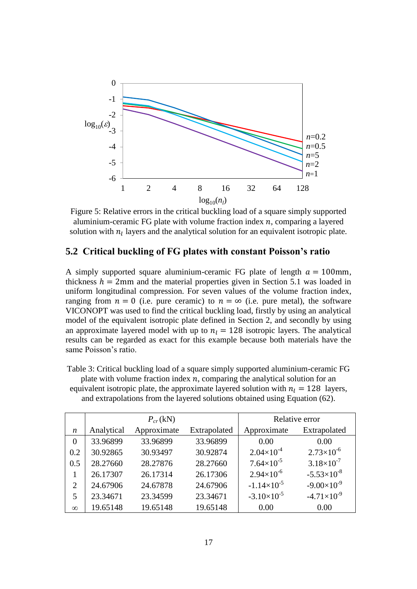

Figure 5: Relative errors in the critical buckling load of a square simply supported aluminium-ceramic FG plate with volume fraction index  $n$ , comparing a layered solution with  $n_l$  layers and the analytical solution for an equivalent isotropic plate.

#### **5.2 Critical buckling of FG plates with constant Poisson's ratio**

A simply supported square aluminium-ceramic FG plate of length  $a = 100$ mm, thickness  $h = 2$ mm and the material properties given in Section 5.1 was loaded in uniform longitudinal compression. For seven values of the volume fraction index, ranging from  $n = 0$  (i.e. pure ceramic) to  $n = \infty$  (i.e. pure metal), the software VICONOPT was used to find the critical buckling load, firstly by using an analytical model of the equivalent isotropic plate defined in Section 2, and secondly by using an approximate layered model with up to  $n_l = 128$  isotropic layers. The analytical results can be regarded as exact for this example because both materials have the same Poisson's ratio.

Table 3: Critical buckling load of a square simply supported aluminium-ceramic FG plate with volume fraction index  $n$ , comparing the analytical solution for an equivalent isotropic plate, the approximate layered solution with  $n_1 = 128$  layers, and extrapolations from the layered solutions obtained using Equation (62).

|                  |            | $P_{cr}$ (kN) |              | Relative error       |                       |
|------------------|------------|---------------|--------------|----------------------|-----------------------|
| $\boldsymbol{n}$ | Analytical | Approximate   | Extrapolated | Approximate          | Extrapolated          |
| $\theta$         | 33.96899   | 33.96899      | 33.96899     | 0.00                 | 0.00                  |
| 0.2              | 30.92865   | 30.93497      | 30.92874     | $2.04\times10^{-4}$  | $2.73\times10^{-6}$   |
| 0.5              | 28.27660   | 28.27876      | 28.27660     | $7.64\times10^{-5}$  | $3.18 \times 10^{-7}$ |
| 1                | 26.17307   | 26.17314      | 26.17306     | $2.94\times10^{-6}$  | $-5.53\times10^{-8}$  |
| $\overline{2}$   | 24.67906   | 24.67878      | 24.67906     | $-1.14\times10^{-5}$ | $-9.00\times10^{-9}$  |
| 5                | 23.34671   | 23.34599      | 23.34671     | $-3.10\times10^{-5}$ | $-4.71\times10^{-9}$  |
| $\infty$         | 19.65148   | 19.65148      | 19.65148     | 0.00                 | 0.00                  |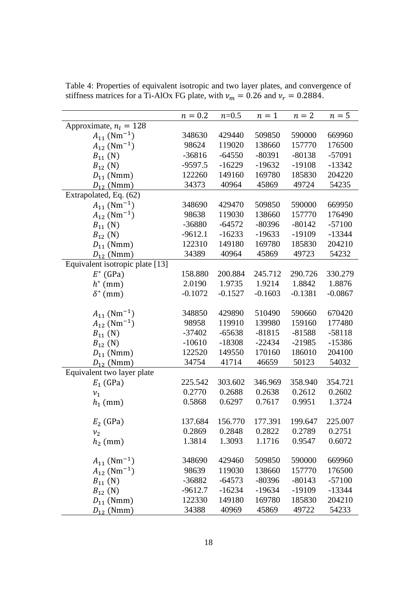|                                 | $n=0.2$   | $n=0.5$   | $n=1$     | $n=2$     | $n=5$     |
|---------------------------------|-----------|-----------|-----------|-----------|-----------|
| Approximate, $n_l = 128$        |           |           |           |           |           |
| $A_{11}$ (Nm <sup>-1</sup> )    | 348630    | 429440    | 509850    | 590000    | 669960    |
| $A_{12}$ (Nm <sup>-1</sup> )    | 98624     | 119020    | 138660    | 157770    | 176500    |
| $B_{11} (N)$                    | $-36816$  | $-64550$  | $-80391$  | $-80138$  | $-57091$  |
| $B_{12} (N)$                    | $-9597.5$ | $-16229$  | $-19632$  | $-19108$  | $-13342$  |
| $D_{11}$ (Nmm)                  | 122260    | 149160    | 169780    | 185830    | 204220    |
| $D_{12}$ (Nmm)                  | 34373     | 40964     | 45869     | 49724     | 54235     |
| Extrapolated, Eq. (62)          |           |           |           |           |           |
| $A_{11}$ (Nm <sup>-1</sup> )    | 348690    | 429470    | 509850    | 590000    | 669950    |
| $A_{12}$ (Nm <sup>-1</sup> )    | 98638     | 119030    | 138660    | 157770    | 176490    |
| $B_{11} (N)$                    | -36880    | $-64572$  | $-80396$  | $-80142$  | $-57100$  |
| $B_{12} (N)$                    | $-9612.1$ | $-16233$  | $-19633$  | $-19109$  | $-13344$  |
| $D_{11}$ (Nmm)                  | 122310    | 149180    | 169780    | 185830    | 204210    |
| $D_{12}$ (Nmm)                  | 34389     | 40964     | 45869     | 49723     | 54232     |
| Equivalent isotropic plate [13] |           |           |           |           |           |
| $E^*$ (GPa)                     | 158.880   | 200.884   | 245.712   | 290.726   | 330.279   |
| $h^*$ (mm)                      | 2.0190    | 1.9735    | 1.9214    | 1.8842    | 1.8876    |
| $\delta^*$ (mm)                 | $-0.1072$ | $-0.1527$ | $-0.1603$ | $-0.1381$ | $-0.0867$ |
|                                 |           |           |           |           |           |
| $A_{11}$ (Nm <sup>-1</sup> )    | 348850    | 429890    | 510490    | 590660    | 670420    |
| $A_{12}$ (Nm <sup>-1</sup> )    | 98958     | 119910    | 139980    | 159160    | 177480    |
| $B_{11} (N)$                    | $-37402$  | $-65638$  | $-81815$  | $-81588$  | $-58118$  |
| $B_{12} (N)$                    | $-10610$  | $-18308$  | $-22434$  | $-21985$  | $-15386$  |
| $D_{11}$ (Nmm)                  | 122520    | 149550    | 170160    | 186010    | 204100    |
| $D_{12}$ (Nmm)                  | 34754     | 41714     | 46659     | 50123     | 54032     |
| Equivalent two layer plate      |           |           |           |           |           |
| $E_1$ (GPa)                     | 225.542   | 303.602   | 346.969   | 358.940   | 354.721   |
| $v_1$                           | 0.2770    | 0.2688    | 0.2638    | 0.2612    | 0.2602    |
| $h_1$ (mm)                      | 0.5868    | 0.6297    | 0.7617    | 0.9951    | 1.3724    |
|                                 |           |           |           |           |           |
| $E_2$ (GPa)                     | 137.684   | 156.770   | 177.391   | 199.647   | 225.007   |
| $v_2$                           | 0.2869    | 0.2848    | 0.2822    | 0.2789    | 0.2751    |
| $h_2$ (mm)                      | 1.3814    | 1.3093    | 1.1716    | 0.9547    | 0.6072    |
|                                 |           |           |           |           |           |
| $A_{11}$ (Nm <sup>-1</sup> )    | 348690    | 429460    | 509850    | 590000    | 669960    |
| $A_{12}$ (Nm <sup>-1</sup> )    | 98639     | 119030    | 138660    | 157770    | 176500    |
| $B_{11} (N)$                    | $-36882$  | $-64573$  | $-80396$  | $-80143$  | $-57100$  |
| $B_{12} (N)$                    | $-9612.7$ | $-16234$  | $-19634$  | -19109    | $-13344$  |
| $D_{11}$ (Nmm)                  | 122330    | 149180    | 169780    | 185830    | 204210    |
| $D_{12}$ (Nmm)                  | 34388     | 40969     | 45869     | 49722     | 54233     |

Table 4: Properties of equivalent isotropic and two layer plates, and convergence of stiffness matrices for a Ti-AlOx FG plate, with  $v_m = 0.26$  and  $v_r = 0.2884$ .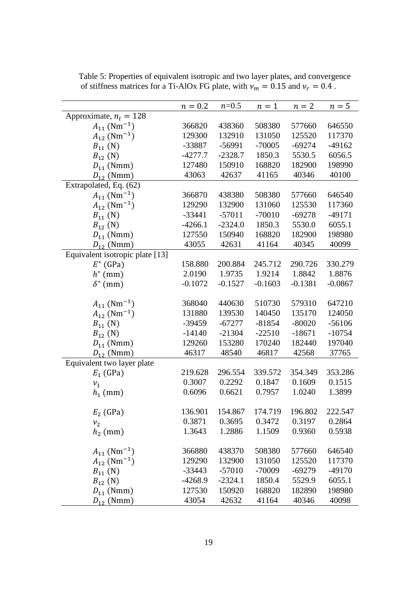|                                 | $n=0.2$   | $n=0.5$   | $n=1$     | $n=2$     | $n=5$     |
|---------------------------------|-----------|-----------|-----------|-----------|-----------|
| Approximate, $n_l = 128$        |           |           |           |           |           |
| $A_{11}$ (Nm <sup>-1</sup> )    | 366820    | 438360    | 508380    | 577660    | 646550    |
| $A_{12}$ (Nm <sup>-1</sup> )    | 129300    | 132910    | 131050    | 125520    | 117370    |
| $B_{11} (N)$                    | -33887    | $-56991$  | $-70005$  | $-69274$  | $-49162$  |
| $B_{12}$ (N)                    | $-4277.7$ | $-2328.7$ | 1850.3    | 5530.5    | 6056.5    |
| $D_{11}$ (Nmm)                  | 127480    | 150910    | 168820    | 182900    | 198990    |
| $D_{12}$ (Nmm)                  | 43063     | 42637     | 41165     | 40346     | 40100     |
| Extrapolated, Eq. (62)          |           |           |           |           |           |
| $A_{11}$ (Nm <sup>-1</sup> )    | 366870    | 438380    | 508380    | 577660    | 646540    |
| $A_{12}$ (Nm <sup>-1</sup> )    | 129290    | 132900    | 131060    | 125530    | 117360    |
| $B_{11} (N)$                    | $-33441$  | $-57011$  | $-70010$  | $-69278$  | $-49171$  |
| $B_{12} (N)$                    | $-4266.1$ | $-2324.0$ | 1850.3    | 5530.0    | 6055.1    |
| $D_{11}$ (Nmm)                  | 127550    | 150940    | 168820    | 182900    | 198980    |
| $D_{12}$ (Nmm)                  | 43055     | 42631     | 41164     | 40345     | 40099     |
| Equivalent isotropic plate [13] |           |           |           |           |           |
| $E^*$ (GPa)                     | 158.880   | 200.884   | 245.712   | 290.726   | 330.279   |
| $h^*$ (mm)                      | 2.0190    | 1.9735    | 1.9214    | 1.8842    | 1.8876    |
| $\delta^*$ (mm)                 | $-0.1072$ | $-0.1527$ | $-0.1603$ | $-0.1381$ | $-0.0867$ |
|                                 |           |           |           |           |           |
| $A_{11}$ (Nm <sup>-1</sup> )    | 368040    | 440630    | 510730    | 579310    | 647210    |
| $A_{12}$ (Nm <sup>-1</sup> )    | 131880    | 139530    | 140450    | 135170    | 124050    |
| $B_{11} (N)$                    | $-39459$  | $-67277$  | $-81854$  | $-80020$  | $-56106$  |
| $B_{12} (N)$                    | $-14140$  | $-21304$  | $-22510$  | $-18671$  | $-10754$  |
| $D_{11}$ (Nmm)                  | 129260    | 153280    | 170240    | 182440    | 197040    |
| $D_{12}$ (Nmm)                  | 46317     | 48540     | 46817     | 42568     | 37765     |
| Equivalent two layer plate      |           |           |           |           |           |
| $E_1$ (GPa)                     | 219.628   | 296.554   | 339.572   | 354.349   | 353.286   |
| $v_1$                           | 0.3007    | 0.2292    | 0.1847    | 0.1609    | 0.1515    |
| $h_1$ (mm)                      | 0.6096    | 0.6621    | 0.7957    | 1.0240    | 1.3899    |
|                                 |           |           |           |           |           |
| $E_2$ (GPa)                     | 136.901   | 154.867   | 174.719   | 196.802   | 222.547   |
| $v_2$                           | 0.3871    | 0.3695    | 0.3472    | 0.3197    | 0.2864    |
| $h_2$ (mm)                      | 1.3643    | 1.2886    | 1.1509    | 0.9360    | 0.5938    |
|                                 |           |           |           |           |           |
| $A_{11}$ (Nm <sup>-1</sup> )    | 366880    | 438370    | 508380    | 577660    | 646540    |
| $A_{12}$ (Nm <sup>-1</sup> )    | 129290    | 132900    | 131050    | 125520    | 117370    |
| $B_{11} (N)$                    | $-33443$  | $-57010$  | $-70009$  | $-69279$  | $-49170$  |
| $B_{12} (N)$                    | $-4268.9$ | $-2324.1$ | 1850.4    | 5529.9    | 6055.1    |
| $D_{11}$ (Nmm)                  | 127530    | 150920    | 168820    | 182890    | 198980    |
| $D_{12}$ (Nmm)                  | 43054     | 42632     | 41164     | 40346     | 40098     |

 Table 5: Properties of equivalent isotropic and two layer plates, and convergence of stiffness matrices for a Ti-AlOx FG plate, with  $v_m = 0.15$  and  $v_r = 0.4$ .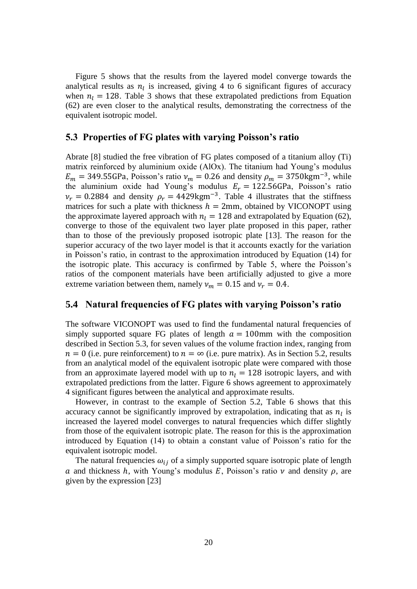Figure 5 shows that the results from the layered model converge towards the analytical results as  $n_l$  is increased, giving 4 to 6 significant figures of accuracy when  $n_l = 128$ . Table 3 shows that these extrapolated predictions from Equation (62) are even closer to the analytical results, demonstrating the correctness of the equivalent isotropic model.

#### **5.3 Properties of FG plates with varying Poisson's ratio**

Abrate [8] studied the free vibration of FG plates composed of a titanium alloy (Ti) matrix reinforced by aluminium oxide (AlOx). The titanium had Young's modulus  $E_m = 349.55$ GPa, Poisson's ratio  $v_m = 0.26$  and density  $\rho_m = 3750$ kgm<sup>-3</sup>, while the aluminium oxide had Young's modulus  $E_r = 122.56$ GPa, Poisson's ratio  $\nu_r = 0.2884$  and density  $\rho_r = 4429 \text{kgm}^{-3}$ . Table 4 illustrates that the stiffness matrices for such a plate with thickness  $h = 2$ mm, obtained by VICONOPT using the approximate layered approach with  $n_l = 128$  and extrapolated by Equation (62), converge to those of the equivalent two layer plate proposed in this paper, rather than to those of the previously proposed isotropic plate [13]. The reason for the superior accuracy of the two layer model is that it accounts exactly for the variation in Poisson's ratio, in contrast to the approximation introduced by Equation (14) for the isotropic plate. This accuracy is confirmed by Table 5, where the Poisson's ratios of the component materials have been artificially adjusted to give a more extreme variation between them, namely  $v_m = 0.15$  and  $v_r = 0.4$ .

#### **5.4 Natural frequencies of FG plates with varying Poisson's ratio**

The software VICONOPT was used to find the fundamental natural frequencies of simply supported square FG plates of length  $a = 100$ mm with the composition described in Section 5.3, for seven values of the volume fraction index, ranging from  $n = 0$  (i.e. pure reinforcement) to  $n = \infty$  (i.e. pure matrix). As in Section 5.2, results from an analytical model of the equivalent isotropic plate were compared with those from an approximate layered model with up to  $n_1 = 128$  isotropic layers, and with extrapolated predictions from the latter. Figure 6 shows agreement to approximately 4 significant figures between the analytical and approximate results.

However, in contrast to the example of Section 5.2, Table 6 shows that this accuracy cannot be significantly improved by extrapolation, indicating that as  $n_l$  is increased the layered model converges to natural frequencies which differ slightly from those of the equivalent isotropic plate. The reason for this is the approximation introduced by Equation (14) to obtain a constant value of Poisson's ratio for the equivalent isotropic model.

The natural frequencies  $\omega_{ij}$  of a simply supported square isotropic plate of length a and thickness h, with Young's modulus E, Poisson's ratio  $\nu$  and density  $\rho$ , are given by the expression [23]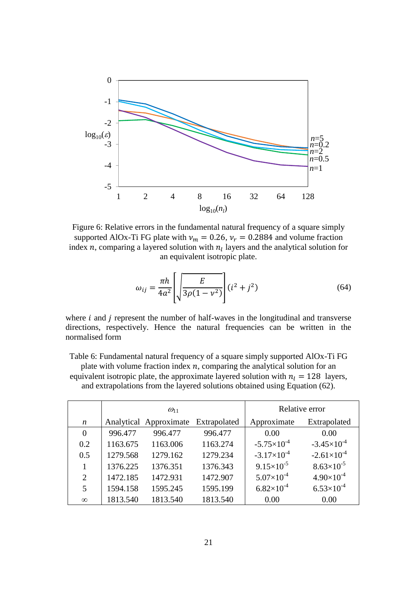

Figure 6: Relative errors in the fundamental natural frequency of a square simply supported AlOx-Ti FG plate with  $\nu_m = 0.26$ ,  $\nu_r = 0.2884$  and volume fraction index  $n$ , comparing a layered solution with  $n_l$  layers and the analytical solution for an equivalent isotropic plate.

$$
\omega_{ij} = \frac{\pi h}{4a^2} \left[ \sqrt{\frac{E}{3\rho(1 - v^2)}} \right] (i^2 + j^2)
$$
 (64)

where  $i$  and  $j$  represent the number of half-waves in the longitudinal and transverse directions, respectively. Hence the natural frequencies can be written in the normalised form

Table 6: Fundamental natural frequency of a square simply supported AlOx-Ti FG plate with volume fraction index  $n$ , comparing the analytical solution for an equivalent isotropic plate, the approximate layered solution with  $n_l = 128$  layers, and extrapolations from the layered solutions obtained using Equation (62).

|                  |          | $\omega_{11}$          | Relative error |                       |                      |
|------------------|----------|------------------------|----------------|-----------------------|----------------------|
| $\boldsymbol{n}$ |          | Analytical Approximate | Extrapolated   | Approximate           | Extrapolated         |
| $\overline{0}$   | 996.477  | 996.477                | 996.477        | 0.00                  | 0.00                 |
| 0.2              | 1163.675 | 1163.006               | 1163.274       | $-5.75\times10^{-4}$  | $-3.45\times10^{-4}$ |
| 0.5              | 1279.568 | 1279.162               | 1279.234       | $-3.17\times10^{-4}$  | $-2.61\times10^{-4}$ |
|                  | 1376.225 | 1376.351               | 1376.343       | $9.15 \times 10^{-5}$ | $8.63\times10^{-5}$  |
| $\overline{2}$   | 1472.185 | 1472.931               | 1472.907       | $5.07\times10^{-4}$   | $4.90\times10^{-4}$  |
| 5                | 1594.158 | 1595.245               | 1595.199       | $6.82\times10^{-4}$   | $6.53\times10^{-4}$  |
| $\infty$         | 1813.540 | 1813.540               | 1813.540       | 0.00                  | 0.00                 |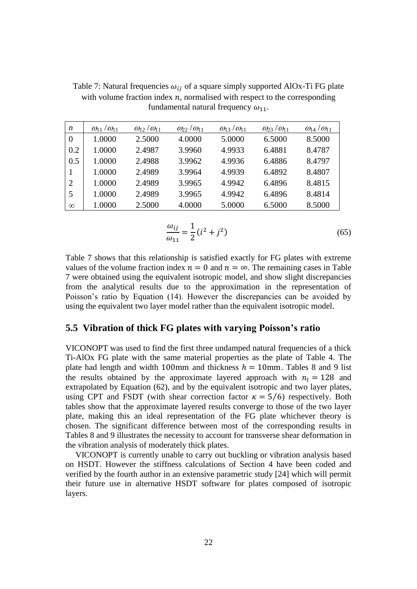Table 7: Natural frequencies  $\omega_{ij}$  of a square simply supported AlOx-Ti FG plate with volume fraction index  $n$ , normalised with respect to the corresponding fundamental natural frequency  $\omega_{11}$ .

| $\boldsymbol{n}$ | $\omega_{11}/\omega_{11}$ | $\omega_{12}/\omega_{11}$ | $\omega_{22}/\omega_{11}$ | $\omega_{13}/\omega_{11}$ | $\omega_{23}/\omega_{11}$ | $\omega_{14}/\omega_{11}$ |
|------------------|---------------------------|---------------------------|---------------------------|---------------------------|---------------------------|---------------------------|
| $\overline{0}$   | 1.0000                    | 2.5000                    | 4.0000                    | 5.0000                    | 6.5000                    | 8.5000                    |
| 0.2              | 1.0000                    | 2.4987                    | 3.9960                    | 4.9933                    | 6.4881                    | 8.4787                    |
| 0.5              | 1.0000                    | 2.4988                    | 3.9962                    | 4.9936                    | 6.4886                    | 8.4797                    |
|                  | 1.0000                    | 2.4989                    | 3.9964                    | 4.9939                    | 6.4892                    | 8.4807                    |
| $\overline{2}$   | 1.0000                    | 2.4989                    | 3.9965                    | 4.9942                    | 6.4896                    | 8.4815                    |
| 5                | 1.0000                    | 2.4989                    | 3.9965                    | 4.9942                    | 6.4896                    | 8.4814                    |
| $\infty$         | 1.0000                    | 2.5000                    | 4.0000                    | 5.0000                    | 6.5000                    | 8.5000                    |
|                  |                           |                           |                           |                           |                           |                           |

$$
\frac{\omega_{ij}}{\omega_{11}} = \frac{1}{2} (i^2 + j^2)
$$
\n(65)

Table 7 shows that this relationship is satisfied exactly for FG plates with extreme values of the volume fraction index  $n = 0$  and  $n = \infty$ . The remaining cases in Table 7 were obtained using the equivalent isotropic model, and show slight discrepancies from the analytical results due to the approximation in the representation of Poisson's ratio by Equation (14). However the discrepancies can be avoided by using the equivalent two layer model rather than the equivalent isotropic model.

#### **5.5 Vibration of thick FG plates with varying Poisson's ratio**

VICONOPT was used to find the first three undamped natural frequencies of a thick Ti-AlOx FG plate with the same material properties as the plate of Table 4. The plate had length and width 100mm and thickness  $h = 10$ mm. Tables 8 and 9 list the results obtained by the approximate layered approach with  $n_l = 128$  and extrapolated by Equation (62), and by the equivalent isotropic and two layer plates, using CPT and FSDT (with shear correction factor  $\kappa = 5/6$ ) respectively. Both tables show that the approximate layered results converge to those of the two layer plate, making this an ideal representation of the FG plate whichever theory is chosen. The significant difference between most of the corresponding results in Tables 8 and 9 illustrates the necessity to account for transverse shear deformation in the vibration analysis of moderately thick plates.

VICONOPT is currently unable to carry out buckling or vibration analysis based on HSDT. However the stiffness calculations of Section 4 have been coded and verified by the fourth author in an extensive parametric study [24] which will permit their future use in alternative HSDT software for plates composed of isotropic layers.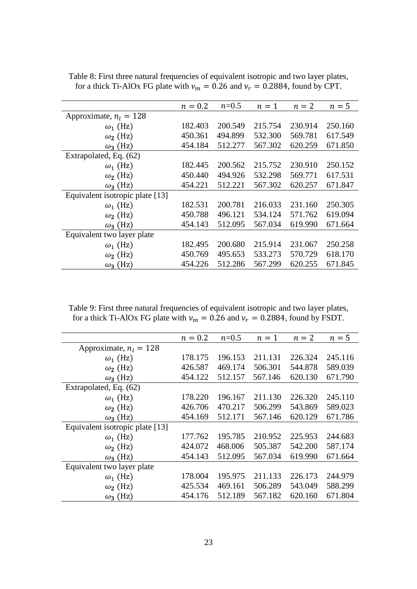|                                 | $n = 0.2$ | $n=0.5$ | $n=1$   | $n=2$   | $n=5$   |
|---------------------------------|-----------|---------|---------|---------|---------|
| Approximate, $nl = 128$         |           |         |         |         |         |
| $\omega_1$ (Hz)                 | 182.403   | 200.549 | 215.754 | 230.914 | 250.160 |
| $\omega_2$ (Hz)                 | 450.361   | 494.899 | 532.300 | 569.781 | 617.549 |
| $\omega_3$ (Hz)                 | 454.184   | 512.277 | 567.302 | 620.259 | 671.850 |
| Extrapolated, Eq. (62)          |           |         |         |         |         |
| $\omega_1$ (Hz)                 | 182.445   | 200.562 | 215.752 | 230.910 | 250.152 |
| $\omega_2$ (Hz)                 | 450.440   | 494.926 | 532.298 | 569.771 | 617.531 |
| $\omega$ <sub>3</sub> (Hz)      | 454.221   | 512.221 | 567.302 | 620.257 | 671.847 |
| Equivalent isotropic plate [13] |           |         |         |         |         |
| $\omega_1$ (Hz)                 | 182.531   | 200.781 | 216.033 | 231.160 | 250.305 |
| $\omega_2$ (Hz)                 | 450.788   | 496.121 | 534.124 | 571.762 | 619.094 |
| $\omega_3$ (Hz)                 | 454.143   | 512.095 | 567.034 | 619.990 | 671.664 |
| Equivalent two layer plate      |           |         |         |         |         |
| $\omega_1$ (Hz)                 | 182.495   | 200.680 | 215.914 | 231.067 | 250.258 |
| $\omega_2$ (Hz)                 | 450.769   | 495.653 | 533.273 | 570.729 | 618.170 |
| $\omega_3$ (Hz)                 | 454.226   | 512.286 | 567.299 | 620.255 | 671.845 |

Table 8: First three natural frequencies of equivalent isotropic and two layer plates, for a thick Ti-AlOx FG plate with  $v_m = 0.26$  and  $v_r = 0.2884$ , found by CPT.

Table 9: First three natural frequencies of equivalent isotropic and two layer plates, for a thick Ti-AlOx FG plate with  $\nu_m = 0.26$  and  $\nu_r = 0.2884$ , found by FSDT.

|                                 | $n = 0.2$ | $n=0.5$ | $n=1$   | $n=2$   | $n=5$   |
|---------------------------------|-----------|---------|---------|---------|---------|
| Approximate, $n_l = 128$        |           |         |         |         |         |
| $\omega_1$ (Hz)                 | 178.175   | 196.153 | 211.131 | 226.324 | 245.116 |
| $\omega_2$ (Hz)                 | 426.587   | 469.174 | 506.301 | 544.878 | 589.039 |
| $\omega_3$ (Hz)                 | 454.122   | 512.157 | 567.146 | 620.130 | 671.790 |
| Extrapolated, Eq. (62)          |           |         |         |         |         |
| $\omega_1$ (Hz)                 | 178.220   | 196.167 | 211.130 | 226.320 | 245.110 |
| $\omega_2$ (Hz)                 | 426.706   | 470.217 | 506.299 | 543.869 | 589.023 |
| $\omega_3$ (Hz)                 | 454.169   | 512.171 | 567.146 | 620.129 | 671.786 |
| Equivalent isotropic plate [13] |           |         |         |         |         |
| $\omega_1$ (Hz)                 | 177.762   | 195.785 | 210.952 | 225.953 | 244.683 |
| $\omega_2$ (Hz)                 | 424.072   | 468.006 | 505.387 | 542.200 | 587.174 |
| $\omega_3$ (Hz)                 | 454.143   | 512.095 | 567.034 | 619.990 | 671.664 |
| Equivalent two layer plate      |           |         |         |         |         |
| $\omega_1$ (Hz)                 | 178.004   | 195.975 | 211.133 | 226.173 | 244.979 |
| $\omega_2$ (Hz)                 | 425.534   | 469.161 | 506.289 | 543.049 | 588.299 |
| $\omega_3$ (Hz)                 | 454.176   | 512.189 | 567.182 | 620.160 | 671.804 |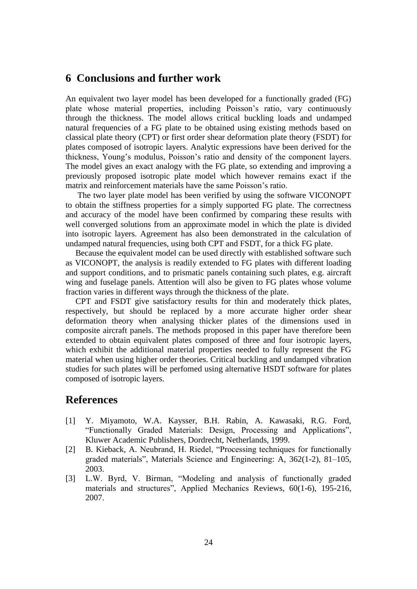# **6 Conclusions and further work**

An equivalent two layer model has been developed for a functionally graded (FG) plate whose material properties, including Poisson's ratio, vary continuously through the thickness. The model allows critical buckling loads and undamped natural frequencies of a FG plate to be obtained using existing methods based on classical plate theory (CPT) or first order shear deformation plate theory (FSDT) for plates composed of isotropic layers. Analytic expressions have been derived for the thickness, Young's modulus, Poisson's ratio and density of the component layers. The model gives an exact analogy with the FG plate, so extending and improving a previously proposed isotropic plate model which however remains exact if the matrix and reinforcement materials have the same Poisson's ratio.

 The two layer plate model has been verified by using the software VICONOPT to obtain the stiffness properties for a simply supported FG plate. The correctness and accuracy of the model have been confirmed by comparing these results with well converged solutions from an approximate model in which the plate is divided into isotropic layers. Agreement has also been demonstrated in the calculation of undamped natural frequencies, using both CPT and FSDT, for a thick FG plate.

Because the equivalent model can be used directly with established software such as VICONOPT, the analysis is readily extended to FG plates with different loading and support conditions, and to prismatic panels containing such plates, e.g. aircraft wing and fuselage panels. Attention will also be given to FG plates whose volume fraction varies in different ways through the thickness of the plate.

CPT and FSDT give satisfactory results for thin and moderately thick plates, respectively, but should be replaced by a more accurate higher order shear deformation theory when analysing thicker plates of the dimensions used in composite aircraft panels. The methods proposed in this paper have therefore been extended to obtain equivalent plates composed of three and four isotropic layers, which exhibit the additional material properties needed to fully represent the FG material when using higher order theories. Critical buckling and undamped vibration studies for such plates will be perfomed using alternative HSDT software for plates composed of isotropic layers.

# **References**

- [1] Y. Miyamoto, W.A. Kaysser, B.H. Rabin, A. Kawasaki, R.G. Ford, "Functionally Graded Materials: Design, Processing and Applications", Kluwer Academic Publishers, Dordrecht, Netherlands, 1999.
- [2] B. Kieback, A. Neubrand, H. Riedel, "Processing techniques for functionally graded materials", Materials Science and Engineering: A, 362(1-2), 81–105, 2003.
- [3] L.W. Byrd, V. Birman, "Modeling and analysis of functionally graded materials and structures", Applied Mechanics Reviews, 60(1-6), 195-216, 2007.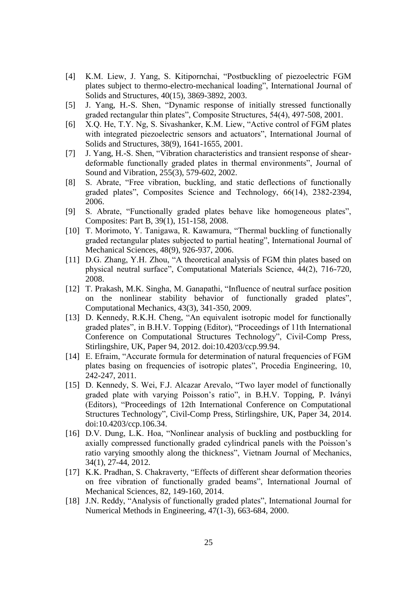- [4] K.M. Liew, J. Yang, S. Kitipornchai, "Postbuckling of piezoelectric FGM plates subject to thermo-electro-mechanical loading", International Journal of Solids and Structures, 40(15), 3869-3892, 2003.
- [5] J. Yang, H.-S. Shen, "Dynamic response of initially stressed functionally graded rectangular thin plates", Composite Structures, 54(4), 497-508, 2001.
- [6] X.Q. He, T.Y. Ng, S. Sivashanker, K.M. Liew, "Active control of FGM plates with integrated piezoelectric sensors and actuators", International Journal of Solids and Structures, 38(9), 1641-1655, 2001.
- [7] J. Yang, H.-S. Shen, "Vibration characteristics and transient response of sheardeformable functionally graded plates in thermal environments", Journal of Sound and Vibration, 255(3), 579-602, 2002.
- [8] S. Abrate, "Free vibration, buckling, and static deflections of functionally graded plates", Composites Science and Technology, 66(14), 2382-2394, 2006.
- [9] S. Abrate, "Functionally graded plates behave like homogeneous plates", Composites: Part B, 39(1), 151-158, 2008.
- [10] T. Morimoto, Y. Tanigawa, R. Kawamura, "Thermal buckling of functionally graded rectangular plates subjected to partial heating", International Journal of Mechanical Sciences, 48(9), 926-937, 2006.
- [11] D.G. Zhang, Y.H. Zhou, "A theoretical analysis of FGM thin plates based on physical neutral surface", Computational Materials Science, 44(2), 716-720, 2008.
- [12] T. Prakash, M.K. Singha, M. Ganapathi, "Influence of neutral surface position on the nonlinear stability behavior of functionally graded plates", Computational Mechanics, 43(3), 341-350, 2009.
- [13] D. Kennedy, R.K.H. Cheng, "An equivalent isotropic model for functionally graded plates", in B.H.V. Topping (Editor), "Proceedings of 11th International Conference on Computational Structures Technology", Civil-Comp Press, Stirlingshire, UK, Paper 94, 2012. doi:10.4203/ccp.99.94.
- [14] E. Efraim, "Accurate formula for determination of natural frequencies of FGM plates basing on frequencies of isotropic plates", Procedia Engineering, 10, 242-247, 2011.
- [15] D. Kennedy, S. Wei, F.J. Alcazar Arevalo, "Two layer model of functionally graded plate with varying Poisson's ratio", in B.H.V. Topping, P. Iványi (Editors), "Proceedings of 12th International Conference on Computational Structures Technology", Civil-Comp Press, Stirlingshire, UK, Paper 34, 2014. doi:10.4203/ccp.106.34.
- [16] D.V. Dung, L.K. Hoa, "Nonlinear analysis of buckling and postbuckling for axially compressed functionally graded cylindrical panels with the Poisson's ratio varying smoothly along the thickness", Vietnam Journal of Mechanics, 34(1), 27-44, 2012.
- [17] K.K. Pradhan, S. Chakraverty, "Effects of different shear deformation theories on free vibration of functionally graded beams", International Journal of Mechanical Sciences, 82, 149-160, 2014.
- [18] J.N. Reddy, "Analysis of functionally graded plates", International Journal for Numerical Methods in Engineering, 47(1-3), 663-684, 2000.